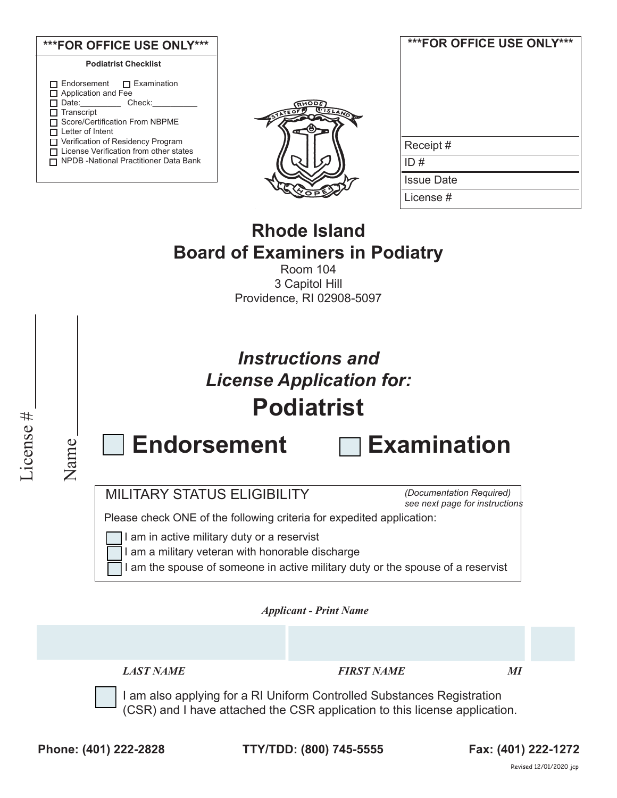

| ***FOR OFFICE USE ONLY*** |
|---------------------------|
| Receipt#                  |
| ID#                       |
| <b>Issue Date</b>         |
| License #                 |

# **Rhode Island Board of Examiners in Podiatry**

Room 104 3 Capitol Hill Providence, RI 02908-5097



Name

# *Instructions and License Application for:* **Podiatrist**

**Endorsement** 

| $\sqsupset$ Examination |  |  |
|-------------------------|--|--|
|                         |  |  |

MILITARY STATUS ELIGIBILITY

*(Documentation Required) see next page for instructions*

Please check ONE of the following criteria for expedited application:

I am in active military duty or a reservist

I am a military veteran with honorable discharge

I am the spouse of someone in active military duty or the spouse of a reservist

*Applicant - Print Name* 

*LAST NAME FIRST NAME MI*

I am also applying for a RI Uniform Controlled Substances Registration (CSR) and I have attached the CSR application to this license application.

**Phone: (401) 222-2828 TTY/TDD: (800) 745-5555 Fax: (401) 222-1272**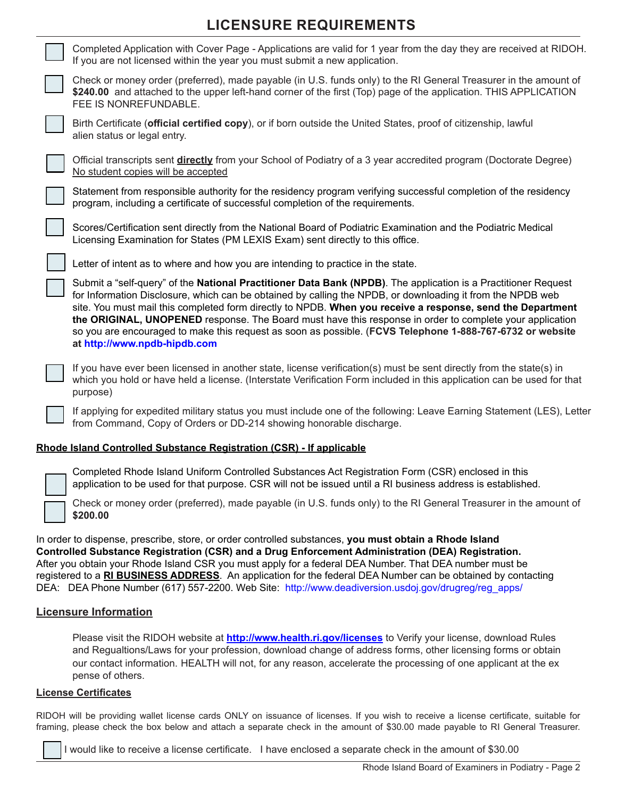## **LICENSURE REQUIREMENTS**

| Completed Application with Cover Page - Applications are valid for 1 year from the day they are received at RIDOH.<br>If you are not licensed within the year you must submit a new application.                                                                                                                                                                                                                                                                                                                                                                                                    |
|-----------------------------------------------------------------------------------------------------------------------------------------------------------------------------------------------------------------------------------------------------------------------------------------------------------------------------------------------------------------------------------------------------------------------------------------------------------------------------------------------------------------------------------------------------------------------------------------------------|
| Check or money order (preferred), made payable (in U.S. funds only) to the RI General Treasurer in the amount of<br>\$240.00 and attached to the upper left-hand corner of the first (Top) page of the application. THIS APPLICATION<br>FEE IS NONREFUNDABLE.                                                                                                                                                                                                                                                                                                                                       |
| Birth Certificate (official certified copy), or if born outside the United States, proof of citizenship, lawful<br>alien status or legal entry.                                                                                                                                                                                                                                                                                                                                                                                                                                                     |
| Official transcripts sent directly from your School of Podiatry of a 3 year accredited program (Doctorate Degree)<br>No student copies will be accepted                                                                                                                                                                                                                                                                                                                                                                                                                                             |
| Statement from responsible authority for the residency program verifying successful completion of the residency<br>program, including a certificate of successful completion of the requirements.                                                                                                                                                                                                                                                                                                                                                                                                   |
| Scores/Certification sent directly from the National Board of Podiatric Examination and the Podiatric Medical<br>Licensing Examination for States (PM LEXIS Exam) sent directly to this office.                                                                                                                                                                                                                                                                                                                                                                                                     |
| Letter of intent as to where and how you are intending to practice in the state.                                                                                                                                                                                                                                                                                                                                                                                                                                                                                                                    |
| Submit a "self-query" of the National Practitioner Data Bank (NPDB). The application is a Practitioner Request<br>for Information Disclosure, which can be obtained by calling the NPDB, or downloading it from the NPDB web<br>site. You must mail this completed form directly to NPDB. When you receive a response, send the Department<br>the ORIGINAL, UNOPENED response. The Board must have this response in order to complete your application<br>so you are encouraged to make this request as soon as possible. (FCVS Telephone 1-888-767-6732 or website<br>at http://www.npdb-hipdb.com |
| If you have ever been licensed in another state, license verification(s) must be sent directly from the state(s) in<br>which you hold or have held a license. (Interstate Verification Form included in this application can be used for that<br>purpose)                                                                                                                                                                                                                                                                                                                                           |
| If applying for expedited military status you must include one of the following: Leave Earning Statement (LES), Letter<br>from Command, Copy of Orders or DD-214 showing honorable discharge.                                                                                                                                                                                                                                                                                                                                                                                                       |

#### **Rhode Island Controlled Substance Registration (CSR) - If applicable**



Completed Rhode Island Uniform Controlled Substances Act Registration Form (CSR) enclosed in this application to be used for that purpose. CSR will not be issued until a RI business address is established.

Check or money order (preferred), made payable (in U.S. funds only) to the RI General Treasurer in the amount of **\$200.00** 

In order to dispense, prescribe, store, or order controlled substances, **you must obtain a Rhode Island Controlled Substance Registration (CSR) and a Drug Enforcement Administration (DEA) Registration.** After you obtain your Rhode Island CSR you must apply for a federal DEA Number. That DEA number must be registered to a **RI BUSINESS ADDRESS**. An application for the federal DEA Number can be obtained by contacting DEA: DEA Phone Number (617) 557-2200. Web Site: http://www.deadiversion.usdoj.gov/drugreg/reg\_apps/

### **Licensure Information**

Please visit the RIDOH website at **http://www.health.ri.gov/licenses** to Verify your license, download Rules and Regualtions/Laws for your profession, download change of address forms, other licensing forms or obtain our contact information. HEALTH will not, for any reason, accelerate the processing of one applicant at the ex pense of others.

### **License Certificates**

RIDOH will be providing wallet license cards ONLY on issuance of licenses. If you wish to receive a license certificate, suitable for framing, please check the box below and attach a separate check in the amount of \$30.00 made payable to RI General Treasurer.

I would like to receive a license certificate. I have enclosed a separate check in the amount of \$30.00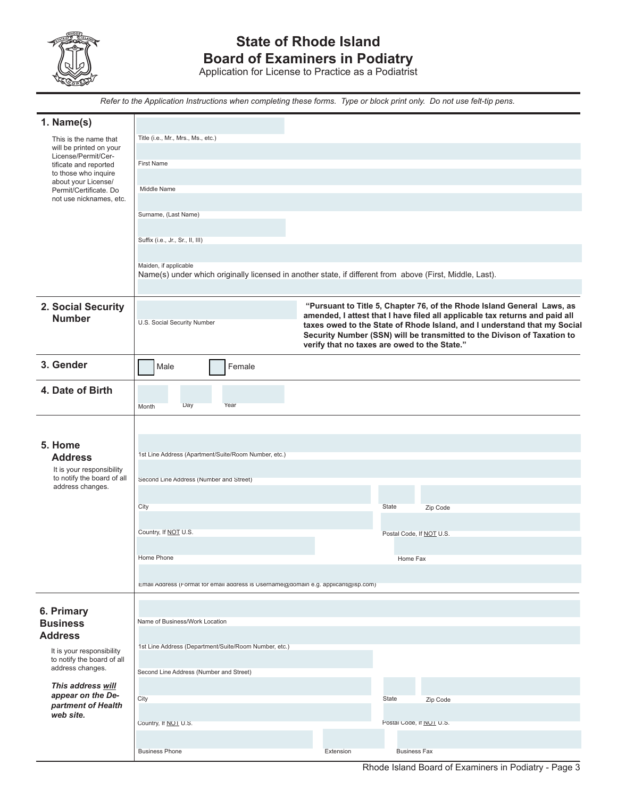

## **State of Rhode Island Board of Examiners in Podiatry**

Application for License to Practice as a Podiatrist

*Refer to the Application Instructions when completing these forms. Type or block print only. Do not use felt-tip pens.*

| 1. Name(s)                                              |                                                                                                          |           |                                                                                                                                                     |  |  |
|---------------------------------------------------------|----------------------------------------------------------------------------------------------------------|-----------|-----------------------------------------------------------------------------------------------------------------------------------------------------|--|--|
| This is the name that                                   | Title (i.e., Mr., Mrs., Ms., etc.)                                                                       |           |                                                                                                                                                     |  |  |
| will be printed on your<br>License/Permit/Cer-          |                                                                                                          |           |                                                                                                                                                     |  |  |
| tificate and reported                                   | <b>First Name</b>                                                                                        |           |                                                                                                                                                     |  |  |
| to those who inquire<br>about your License/             |                                                                                                          |           |                                                                                                                                                     |  |  |
| Permit/Certificate. Do<br>not use nicknames, etc.       | Middle Name                                                                                              |           |                                                                                                                                                     |  |  |
|                                                         |                                                                                                          |           |                                                                                                                                                     |  |  |
|                                                         | Surname, (Last Name)                                                                                     |           |                                                                                                                                                     |  |  |
|                                                         |                                                                                                          |           |                                                                                                                                                     |  |  |
|                                                         | Suffix (i.e., Jr., Sr., II, III)                                                                         |           |                                                                                                                                                     |  |  |
|                                                         | Maiden, if applicable                                                                                    |           |                                                                                                                                                     |  |  |
|                                                         | Name(s) under which originally licensed in another state, if different from above (First, Middle, Last). |           |                                                                                                                                                     |  |  |
|                                                         |                                                                                                          |           |                                                                                                                                                     |  |  |
| 2. Social Security                                      |                                                                                                          |           | "Pursuant to Title 5, Chapter 76, of the Rhode Island General Laws, as                                                                              |  |  |
| <b>Number</b>                                           | U.S. Social Security Number                                                                              |           | amended, I attest that I have filed all applicable tax returns and paid all                                                                         |  |  |
|                                                         |                                                                                                          |           | taxes owed to the State of Rhode Island, and I understand that my Social<br>Security Number (SSN) will be transmitted to the Divison of Taxation to |  |  |
|                                                         |                                                                                                          |           | verify that no taxes are owed to the State."                                                                                                        |  |  |
| 3. Gender                                               | Female<br>Male                                                                                           |           |                                                                                                                                                     |  |  |
|                                                         |                                                                                                          |           |                                                                                                                                                     |  |  |
| 4. Date of Birth                                        |                                                                                                          |           |                                                                                                                                                     |  |  |
|                                                         | Day<br>Year<br>Month                                                                                     |           |                                                                                                                                                     |  |  |
|                                                         |                                                                                                          |           |                                                                                                                                                     |  |  |
|                                                         |                                                                                                          |           |                                                                                                                                                     |  |  |
| 5. Home                                                 |                                                                                                          |           |                                                                                                                                                     |  |  |
| <b>Address</b>                                          | 1st Line Address (Apartment/Suite/Room Number, etc.)<br>Second Line Address (Number and Street)          |           |                                                                                                                                                     |  |  |
| It is your responsibility<br>to notify the board of all |                                                                                                          |           |                                                                                                                                                     |  |  |
| address changes.                                        |                                                                                                          |           |                                                                                                                                                     |  |  |
|                                                         | City                                                                                                     |           | State<br>Zip Code                                                                                                                                   |  |  |
|                                                         |                                                                                                          |           |                                                                                                                                                     |  |  |
|                                                         | Country, If NOT U.S.                                                                                     |           | Postal Code, If NOT U.S.                                                                                                                            |  |  |
|                                                         |                                                                                                          |           |                                                                                                                                                     |  |  |
|                                                         | Home Phone                                                                                               |           | Home Fax                                                                                                                                            |  |  |
|                                                         |                                                                                                          |           |                                                                                                                                                     |  |  |
|                                                         | Email Address (Format for email address is Username@domain e.g. applicant@isp.com)                       |           |                                                                                                                                                     |  |  |
|                                                         |                                                                                                          |           |                                                                                                                                                     |  |  |
| 6. Primary                                              | Name of Business/Work Location                                                                           |           |                                                                                                                                                     |  |  |
| <b>Business</b><br><b>Address</b>                       |                                                                                                          |           |                                                                                                                                                     |  |  |
|                                                         | 1st Line Address (Department/Suite/Room Number, etc.)                                                    |           |                                                                                                                                                     |  |  |
| It is your responsibility<br>to notify the board of all |                                                                                                          |           |                                                                                                                                                     |  |  |
| address changes.                                        | Second Line Address (Number and Street)                                                                  |           |                                                                                                                                                     |  |  |
| This address will                                       |                                                                                                          |           |                                                                                                                                                     |  |  |
| appear on the De-<br>partment of Health                 | City                                                                                                     |           | State<br>Zip Code                                                                                                                                   |  |  |
| web site.                                               |                                                                                                          |           |                                                                                                                                                     |  |  |
|                                                         | Country, If NOT U.S.                                                                                     |           | Postal Code, If NOT U.S.                                                                                                                            |  |  |
|                                                         |                                                                                                          |           |                                                                                                                                                     |  |  |
|                                                         | <b>Business Phone</b>                                                                                    | Extension | <b>Business Fax</b>                                                                                                                                 |  |  |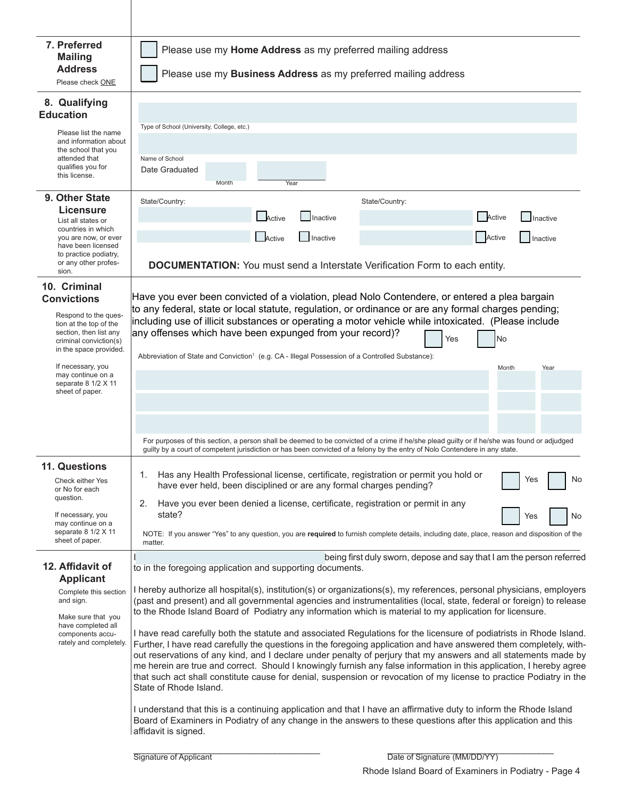| 7. Preferred<br><b>Mailing</b><br><b>Address</b><br>Please check ONE                                                                                                                                                                                   | Please use my Home Address as my preferred mailing address<br>Please use my Business Address as my preferred mailing address                                                                                                                                                                                                                                                                                                                                                                                                                                                                                                                                                                                                                                                                                                                                                                                                                                                                                                                                                                                                                                                                                                                                                                                                                                                                           |  |  |  |  |  |
|--------------------------------------------------------------------------------------------------------------------------------------------------------------------------------------------------------------------------------------------------------|--------------------------------------------------------------------------------------------------------------------------------------------------------------------------------------------------------------------------------------------------------------------------------------------------------------------------------------------------------------------------------------------------------------------------------------------------------------------------------------------------------------------------------------------------------------------------------------------------------------------------------------------------------------------------------------------------------------------------------------------------------------------------------------------------------------------------------------------------------------------------------------------------------------------------------------------------------------------------------------------------------------------------------------------------------------------------------------------------------------------------------------------------------------------------------------------------------------------------------------------------------------------------------------------------------------------------------------------------------------------------------------------------------|--|--|--|--|--|
| 8. Qualifying<br><b>Education</b><br>Please list the name<br>and information about<br>the school that you<br>attended that<br>qualifies you for<br>this license.                                                                                       | Type of School (University, College, etc.)<br>Name of School<br>Date Graduated<br>Month<br>Year                                                                                                                                                                                                                                                                                                                                                                                                                                                                                                                                                                                                                                                                                                                                                                                                                                                                                                                                                                                                                                                                                                                                                                                                                                                                                                        |  |  |  |  |  |
| 9. Other State<br><b>Licensure</b><br>List all states or<br>countries in which<br>you are now, or ever<br>have been licensed<br>to practice podiatry,<br>or any other profes-<br>sion.                                                                 | State/Country:<br>State/Country:<br>Active<br><b>Active</b><br>Inactive<br>$\Box$ Inactive<br>Active<br><b>I</b> lnactive<br>Inactive<br>Active<br><b>DOCUMENTATION:</b> You must send a Interstate Verification Form to each entity.                                                                                                                                                                                                                                                                                                                                                                                                                                                                                                                                                                                                                                                                                                                                                                                                                                                                                                                                                                                                                                                                                                                                                                  |  |  |  |  |  |
| 10. Criminal<br><b>Convictions</b><br>Respond to the ques-<br>tion at the top of the<br>section, then list any<br>criminal conviction(s)<br>in the space provided.<br>If necessary, you<br>may continue on a<br>separate 8 1/2 X 11<br>sheet of paper. | Have you ever been convicted of a violation, plead Nolo Contendere, or entered a plea bargain<br>to any federal, state or local statute, regulation, or ordinance or are any formal charges pending;<br>including use of illicit substances or operating a motor vehicle while intoxicated. (Please include<br>any offenses which have been expunged from your record)?<br>Yes<br>No<br>Abbreviation of State and Conviction <sup>1</sup> (e.g. CA - Illegal Possession of a Controlled Substance):<br>Month<br>Year                                                                                                                                                                                                                                                                                                                                                                                                                                                                                                                                                                                                                                                                                                                                                                                                                                                                                   |  |  |  |  |  |
| 11. Questions<br>Check either Yes<br>or No for each<br>question.<br>If necessary, you<br>may continue on a<br>separate 8 1/2 X 11<br>sheet of paper.                                                                                                   | For purposes of this section, a person shall be deemed to be convicted of a crime if he/she plead guilty or if he/she was found or adjudged<br>guilty by a court of competent jurisdiction or has been convicted of a felony by the entry of Nolo Contendere in any state.<br>Has any Health Professional license, certificate, registration or permit you hold or<br>1.<br>No<br>Yes<br>have ever held, been disciplined or are any formal charges pending?<br>Have you ever been denied a license, certificate, registration or permit in any<br>2.<br>state?<br>Yes<br>No<br>NOTE: If you answer "Yes" to any question, you are required to furnish complete details, including date, place, reason and disposition of the<br>matter.                                                                                                                                                                                                                                                                                                                                                                                                                                                                                                                                                                                                                                                               |  |  |  |  |  |
| 12. Affidavit of<br><b>Applicant</b><br>Complete this section<br>and sign.<br>Make sure that you<br>have completed all<br>components accu-<br>rately and completely.                                                                                   | being first duly sworn, depose and say that I am the person referred<br>to in the foregoing application and supporting documents.<br>I hereby authorize all hospital(s), institution(s) or organizations(s), my references, personal physicians, employers<br>(past and present) and all governmental agencies and instrumentalities (local, state, federal or foreign) to release<br>to the Rhode Island Board of Podiatry any information which is material to my application for licensure.<br>I have read carefully both the statute and associated Regulations for the licensure of podiatrists in Rhode Island.<br>Further, I have read carefully the questions in the foregoing application and have answered them completely, with-<br>out reservations of any kind, and I declare under penalty of perjury that my answers and all statements made by<br>me herein are true and correct. Should I knowingly furnish any false information in this application, I hereby agree<br>that such act shall constitute cause for denial, suspension or revocation of my license to practice Podiatry in the<br>State of Rhode Island.<br>I understand that this is a continuing application and that I have an affirmative duty to inform the Rhode Island<br>Board of Examiners in Podiatry of any change in the answers to these questions after this application and this<br>affidavit is signed. |  |  |  |  |  |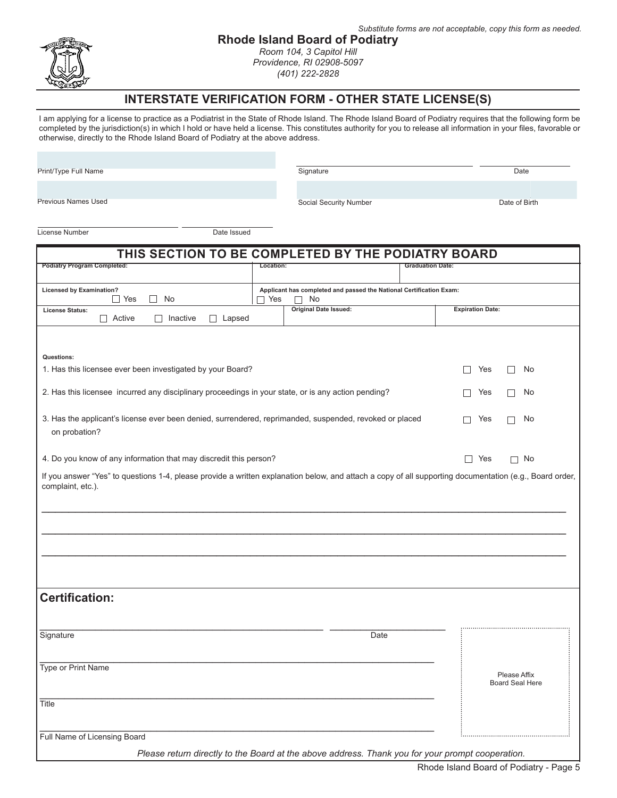



### **Rhode Island Board of Podiatry**

*Room 104, 3 Capitol Hill Providence, RI 02908-5097 (401) 222-2828*

### **INTERSTATE VERIFICATION FORM - OTHER STATE LICENSE(S)**

I am applying for a license to practice as a Podiatrist in the State of Rhode Island. The Rhode Island Board of Podiatry requires that the following form be completed by the jurisdiction(s) in which I hold or have held a license. This constitutes authority for you to release all information in your files, favorable or otherwise, directly to the Rhode Island Board of Podiatry at the above address.

Print/Type Full Name

Previous Names Used

Signature Date

Social Security Number Date of Birth

License Number Date Issued

| THIS SECTION TO BE COMPLETED BY THE PODIATRY BOARD                                                                                                                           |           |                                                                                                  |                         |         |            |                                        |    |
|------------------------------------------------------------------------------------------------------------------------------------------------------------------------------|-----------|--------------------------------------------------------------------------------------------------|-------------------------|---------|------------|----------------------------------------|----|
| <b>Podiatry Program Completed:</b>                                                                                                                                           | Location: |                                                                                                  | <b>Graduation Date:</b> |         |            |                                        |    |
| <b>Licensed by Examination?</b><br>$\Box$ Yes<br>$\Box$<br>No                                                                                                                | □ Yes     | Applicant has completed and passed the National Certification Exam:<br>No                        |                         |         |            |                                        |    |
| <b>License Status:</b><br>$\Box$ Active<br>$\Box$ Inactive<br>$\Box$ Lapsed                                                                                                  |           | <b>Original Date Issued:</b><br><b>Expiration Date:</b>                                          |                         |         |            |                                        |    |
|                                                                                                                                                                              |           |                                                                                                  |                         |         |            |                                        |    |
| Questions:<br>1. Has this licensee ever been investigated by your Board?                                                                                                     |           |                                                                                                  |                         | $\perp$ | Yes        | $\mathsf{L}$                           | No |
| 2. Has this licensee incurred any disciplinary proceedings in your state, or is any action pending?                                                                          |           |                                                                                                  |                         |         | Yes        | П                                      | No |
| 3. Has the applicant's license ever been denied, surrendered, reprimanded, suspended, revoked or placed<br>Yes<br>No<br>П<br>П<br>on probation?                              |           |                                                                                                  |                         |         |            |                                        |    |
| 4. Do you know of any information that may discredit this person?                                                                                                            |           |                                                                                                  |                         |         | $\Box$ Yes | $\Box$ No                              |    |
| If you answer "Yes" to questions 1-4, please provide a written explanation below, and attach a copy of all supporting documentation (e.g., Board order,<br>complaint, etc.). |           |                                                                                                  |                         |         |            |                                        |    |
|                                                                                                                                                                              |           |                                                                                                  |                         |         |            |                                        |    |
|                                                                                                                                                                              |           |                                                                                                  |                         |         |            |                                        |    |
| <b>Certification:</b>                                                                                                                                                        |           |                                                                                                  |                         |         |            |                                        |    |
| Signature                                                                                                                                                                    |           | Date                                                                                             |                         |         |            |                                        |    |
| Type or Print Name                                                                                                                                                           |           |                                                                                                  |                         |         |            | Please Affix<br><b>Board Seal Here</b> |    |
| <b>Title</b>                                                                                                                                                                 |           |                                                                                                  |                         |         |            |                                        |    |
| Full Name of Licensing Board                                                                                                                                                 |           | Please return directly to the Board at the above address. Thank you for your prompt cooperation. |                         |         |            |                                        |    |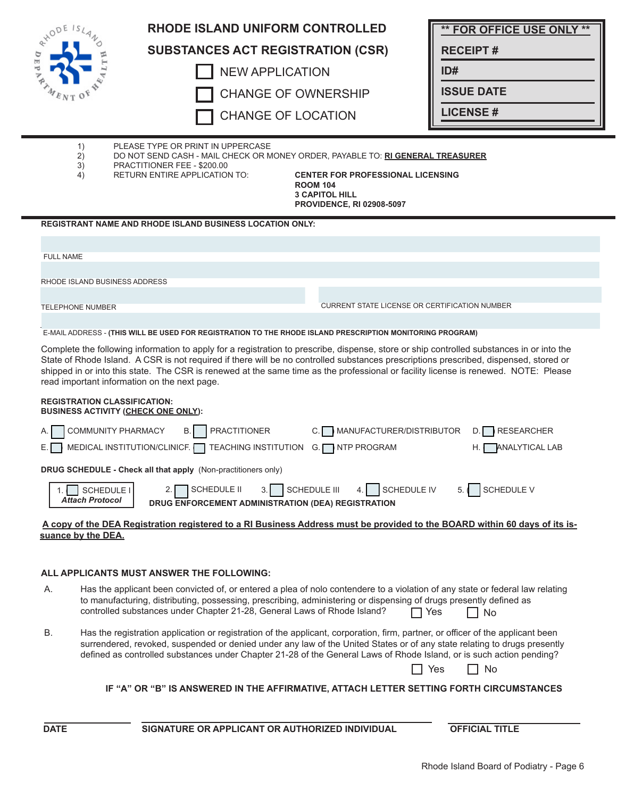| $e^{x^{10}}$ = $e^{x}$               | <b>RHODE ISLAND UNIFORM CONTROLLED</b>                                                                                                                                                                                                                                                                                                                                                                                                                                    |                                                                                                                          | <b>** FOR OFFICE USE ONLY **</b>                         |  |  |  |
|--------------------------------------|---------------------------------------------------------------------------------------------------------------------------------------------------------------------------------------------------------------------------------------------------------------------------------------------------------------------------------------------------------------------------------------------------------------------------------------------------------------------------|--------------------------------------------------------------------------------------------------------------------------|----------------------------------------------------------|--|--|--|
|                                      | <b>SUBSTANCES ACT REGISTRATION (CSR)</b>                                                                                                                                                                                                                                                                                                                                                                                                                                  |                                                                                                                          | <b>RECEIPT#</b>                                          |  |  |  |
|                                      | <b>NEW APPLICATION</b>                                                                                                                                                                                                                                                                                                                                                                                                                                                    |                                                                                                                          | ID#                                                      |  |  |  |
|                                      | <b>CHANGE OF OWNERSHIP</b>                                                                                                                                                                                                                                                                                                                                                                                                                                                | <b>ISSUE DATE</b>                                                                                                        |                                                          |  |  |  |
|                                      | <b>CHANGE OF LOCATION</b>                                                                                                                                                                                                                                                                                                                                                                                                                                                 |                                                                                                                          | <b>LICENSE #</b>                                         |  |  |  |
| 1)<br>2)<br>3)<br>4)                 | PLEASE TYPE OR PRINT IN UPPERCASE<br>DO NOT SEND CASH - MAIL CHECK OR MONEY ORDER, PAYABLE TO: RI GENERAL TREASURER<br>PRACTITIONER FEE - \$200.00<br>RETURN ENTIRE APPLICATION TO:                                                                                                                                                                                                                                                                                       | <b>CENTER FOR PROFESSIONAL LICENSING</b><br><b>ROOM 104</b><br><b>3 CAPITOL HILL</b><br><b>PROVIDENCE, RI 02908-5097</b> |                                                          |  |  |  |
|                                      | <b>REGISTRANT NAME AND RHODE ISLAND BUSINESS LOCATION ONLY:</b>                                                                                                                                                                                                                                                                                                                                                                                                           |                                                                                                                          |                                                          |  |  |  |
| <b>FULL NAME</b>                     |                                                                                                                                                                                                                                                                                                                                                                                                                                                                           |                                                                                                                          |                                                          |  |  |  |
|                                      |                                                                                                                                                                                                                                                                                                                                                                                                                                                                           |                                                                                                                          |                                                          |  |  |  |
| RHODE ISLAND BUSINESS ADDRESS        |                                                                                                                                                                                                                                                                                                                                                                                                                                                                           |                                                                                                                          |                                                          |  |  |  |
| <b>TELEPHONE NUMBER</b>              |                                                                                                                                                                                                                                                                                                                                                                                                                                                                           | <b>CURRENT STATE LICENSE OR CERTIFICATION NUMBER</b>                                                                     |                                                          |  |  |  |
|                                      | E-MAIL ADDRESS - (THIS WILL BE USED FOR REGISTRATION TO THE RHODE ISLAND PRESCRIPTION MONITORING PROGRAM)                                                                                                                                                                                                                                                                                                                                                                 |                                                                                                                          |                                                          |  |  |  |
|                                      | Complete the following information to apply for a registration to prescribe, dispense, store or ship controlled substances in or into the<br>State of Rhode Island. A CSR is not required if there will be no controlled substances prescriptions prescribed, dispensed, stored or<br>shipped in or into this state. The CSR is renewed at the same time as the professional or facility license is renewed. NOTE: Please<br>read important information on the next page. |                                                                                                                          |                                                          |  |  |  |
| <b>REGISTRATION CLASSIFICATION:</b>  | <b>BUSINESS ACTIVITY (CHECK ONE ONLY):</b>                                                                                                                                                                                                                                                                                                                                                                                                                                |                                                                                                                          |                                                          |  |  |  |
| А.<br>Е.                             | COMMUNITY PHARMACY<br><b>PRACTITIONER</b><br>В.<br>MEDICAL INSTITUTION/CLINICF.<br>TEACHING INSTITUTION                                                                                                                                                                                                                                                                                                                                                                   | MANUFACTURER/DISTRIBUTOR<br><b>NTP PROGRAM</b><br>G. [                                                                   | <b>RESEARCHER</b><br>D.<br><b>ANALYTICAL LAB</b><br>Н. І |  |  |  |
|                                      | DRUG SCHEDULE - Check all that apply (Non-practitioners only)                                                                                                                                                                                                                                                                                                                                                                                                             |                                                                                                                          |                                                          |  |  |  |
| SCHEDULE I<br><b>Attach Protocol</b> | SCHEDULE III<br><b>SCHEDULE II</b><br>3.1<br>DRUG ENFORCEMENT ADMINISTRATION (DEA) REGISTRATION                                                                                                                                                                                                                                                                                                                                                                           | SCHEDULE IV                                                                                                              | <b>SCHEDULE V</b>                                        |  |  |  |
| suance by the DEA.                   | A copy of the DEA Registration registered to a RI Business Address must be provided to the BOARD within 60 days of its is-                                                                                                                                                                                                                                                                                                                                                |                                                                                                                          |                                                          |  |  |  |
|                                      | ALL APPLICANTS MUST ANSWER THE FOLLOWING:                                                                                                                                                                                                                                                                                                                                                                                                                                 |                                                                                                                          |                                                          |  |  |  |
| А.                                   | Has the applicant been convicted of, or entered a plea of nolo contendere to a violation of any state or federal law relating<br>to manufacturing, distributing, possessing, prescribing, administering or dispensing of drugs presently defined as<br>controlled substances under Chapter 21-28, General Laws of Rhode Island?                                                                                                                                           |                                                                                                                          | Yes<br>No                                                |  |  |  |
| В.                                   | Has the registration application or registration of the applicant, corporation, firm, partner, or officer of the applicant been<br>surrendered, revoked, suspended or denied under any law of the United States or of any state relating to drugs presently<br>defined as controlled substances under Chapter 21-28 of the General Laws of Rhode Island, or is such action pending?                                                                                       |                                                                                                                          | No<br>Yes                                                |  |  |  |
|                                      | IF "A" OR "B" IS ANSWERED IN THE AFFIRMATIVE, ATTACH LETTER SETTING FORTH CIRCUMSTANCES                                                                                                                                                                                                                                                                                                                                                                                   |                                                                                                                          |                                                          |  |  |  |
| <b>DATE</b>                          | SIGNATURE OR APPLICANT OR AUTHORIZED INDIVIDUAL                                                                                                                                                                                                                                                                                                                                                                                                                           |                                                                                                                          | <b>OFFICIAL TITLE</b>                                    |  |  |  |